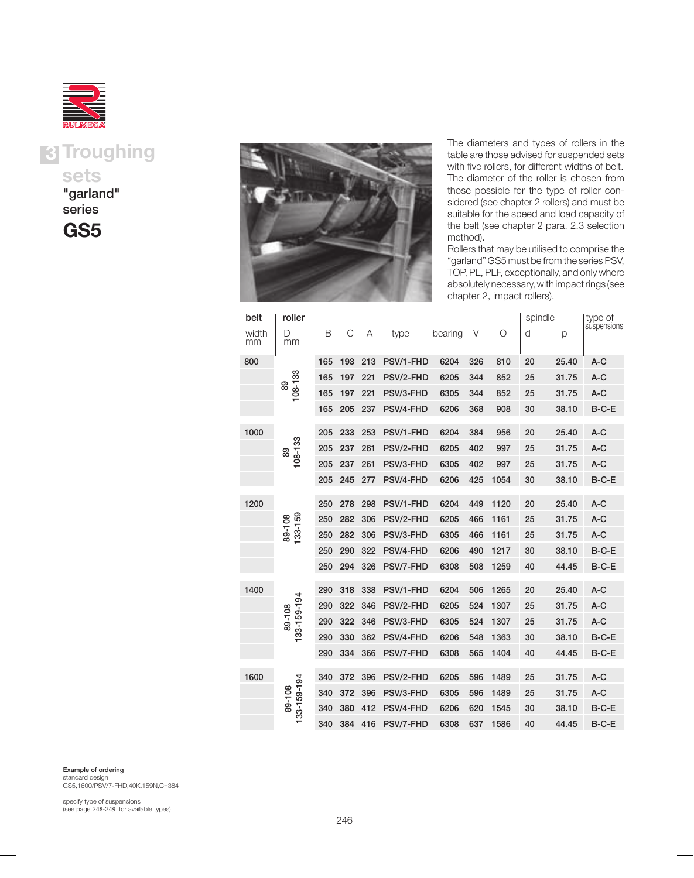



"garland" series

GS5



The diameters and types of rollers in the table are those advised for suspended sets with five rollers, for different widths of belt. The diameter of the roller is chosen from those possible for the type of roller considered (see chapter 2 rollers) and must be suitable for the speed and load capacity of the belt (see chapter 2 para. 2.3 selection method).

Rollers that may be utilised to comprise the "garland" GS5 must be from the series PSV, TOP, PL, PLF, exceptionally, and only where absolutely necessary, with impact rings (see chapter 2, impact rollers).

| belt        | roller                |     |     |     |           |         |     |      | spindle |       | type of     |
|-------------|-----------------------|-----|-----|-----|-----------|---------|-----|------|---------|-------|-------------|
| width<br>mm | D<br>mm               | B   | C   | Α   | type      | bearing | V   | O    | d       | p     | suspensions |
| 800         | 108-133<br>89         | 165 | 193 | 213 | PSV/1-FHD | 6204    | 326 | 810  | 20      | 25.40 | $A-C$       |
|             |                       | 165 | 197 | 221 | PSV/2-FHD | 6205    | 344 | 852  | 25      | 31.75 | $A-C$       |
|             |                       | 165 | 197 | 221 | PSV/3-FHD | 6305    | 344 | 852  | 25      | 31.75 | $A-C$       |
|             |                       | 165 | 205 | 237 | PSV/4-FHD | 6206    | 368 | 908  | 30      | 38.10 | B-C-E       |
| 1000        | 108-133<br>89         | 205 | 233 | 253 | PSV/1-FHD | 6204    | 384 | 956  | 20      | 25.40 | $A-C$       |
|             |                       | 205 | 237 | 261 | PSV/2-FHD | 6205    | 402 | 997  | 25      | 31.75 | $A-C$       |
|             |                       | 205 | 237 | 261 | PSV/3-FHD | 6305    | 402 | 997  | 25      | 31.75 | $A-C$       |
|             |                       | 205 | 245 | 277 | PSV/4-FHD | 6206    | 425 | 1054 | 30      | 38.10 | B-C-E       |
| 1200        |                       | 250 | 278 | 298 | PSV/1-FHD | 6204    | 449 | 1120 | 20      | 25.40 | $A-C$       |
|             | 133-159<br>80-108     | 250 | 282 | 306 | PSV/2-FHD | 6205    | 466 | 1161 | 25      | 31.75 | $A-C$       |
|             |                       | 250 | 282 | 306 | PSV/3-FHD | 6305    | 466 | 1161 | 25      | 31.75 | $A-C$       |
|             |                       | 250 | 290 | 322 | PSV/4-FHD | 6206    | 490 | 1217 | 30      | 38.10 | B-C-E       |
|             |                       | 250 | 294 | 326 |           | 6308    | 508 | 1259 | 40      |       | B-C-E       |
|             |                       |     |     |     | PSV/7-FHD |         |     |      |         | 44.45 |             |
| 1400        | 133-159-194<br>89-108 | 290 | 318 | 338 | PSV/1-FHD | 6204    | 506 | 1265 | 20      | 25.40 | $A-C$       |
|             |                       | 290 | 322 | 346 | PSV/2-FHD | 6205    | 524 | 1307 | 25      | 31.75 | $A-C$       |
|             |                       | 290 | 322 | 346 | PSV/3-FHD | 6305    | 524 | 1307 | 25      | 31.75 | $A-C$       |
|             |                       | 290 | 330 | 362 | PSV/4-FHD | 6206    | 548 | 1363 | 30      | 38.10 | $B-C-E$     |
|             |                       | 290 | 334 | 366 | PSV/7-FHD | 6308    | 565 | 1404 | 40      | 44.45 | B-C-E       |
| 1600        | 133-159-194<br>89-108 | 340 | 372 | 396 | PSV/2-FHD | 6205    | 596 | 1489 | 25      | 31.75 | $A-C$       |
|             |                       | 340 | 372 | 396 | PSV/3-FHD | 6305    | 596 | 1489 | 25      | 31.75 | $A-C$       |
|             |                       | 340 | 380 | 412 | PSV/4-FHD | 6206    | 620 | 1545 | 30      | 38.10 | $B-C-E$     |
|             |                       | 340 | 384 | 416 | PSV/7-FHD | 6308    | 637 | 1586 | 40      | 44.45 | $B-C-E$     |

Example of ordering

standard design GS5,1600/PSV/7-FHD,40K,159N,C=384

specify type of suspensions (see page 248-249 for available types)